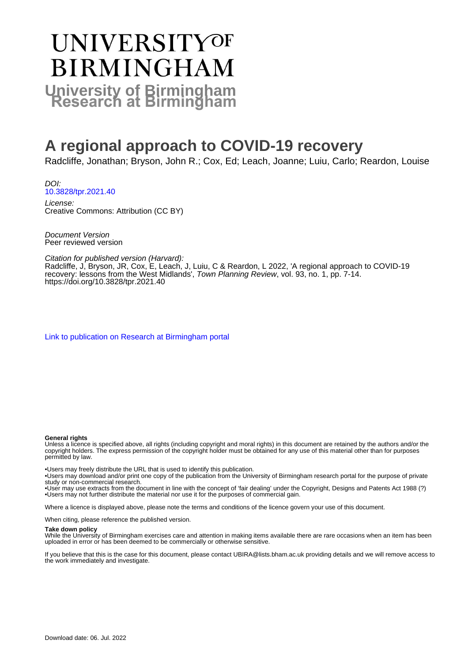# UNIVERSITYOF **BIRMINGHAM University of Birmingham**

# **A regional approach to COVID-19 recovery**

Radcliffe, Jonathan; Bryson, John R.; Cox, Ed; Leach, Joanne; Luiu, Carlo; Reardon, Louise

DOI: [10.3828/tpr.2021.40](https://doi.org/10.3828/tpr.2021.40)

License: Creative Commons: Attribution (CC BY)

Document Version Peer reviewed version

Citation for published version (Harvard):

Radcliffe, J, Bryson, JR, Cox, E, Leach, J, Luiu, C & Reardon, L 2022, 'A regional approach to COVID-19 recovery: lessons from the West Midlands', *Town Planning Review*, vol. 93, no. 1, pp. 7-14. <https://doi.org/10.3828/tpr.2021.40>

[Link to publication on Research at Birmingham portal](https://birmingham.elsevierpure.com/en/publications/9a76012b-a256-491a-b11d-f3bea18e73e7)

#### **General rights**

Unless a licence is specified above, all rights (including copyright and moral rights) in this document are retained by the authors and/or the copyright holders. The express permission of the copyright holder must be obtained for any use of this material other than for purposes permitted by law.

• Users may freely distribute the URL that is used to identify this publication.

- • Users may download and/or print one copy of the publication from the University of Birmingham research portal for the purpose of private study or non-commercial research.
- • User may use extracts from the document in line with the concept of 'fair dealing' under the Copyright, Designs and Patents Act 1988 (?) • Users may not further distribute the material nor use it for the purposes of commercial gain.

Where a licence is displayed above, please note the terms and conditions of the licence govern your use of this document.

When citing, please reference the published version.

#### **Take down policy**

While the University of Birmingham exercises care and attention in making items available there are rare occasions when an item has been uploaded in error or has been deemed to be commercially or otherwise sensitive.

If you believe that this is the case for this document, please contact UBIRA@lists.bham.ac.uk providing details and we will remove access to the work immediately and investigate.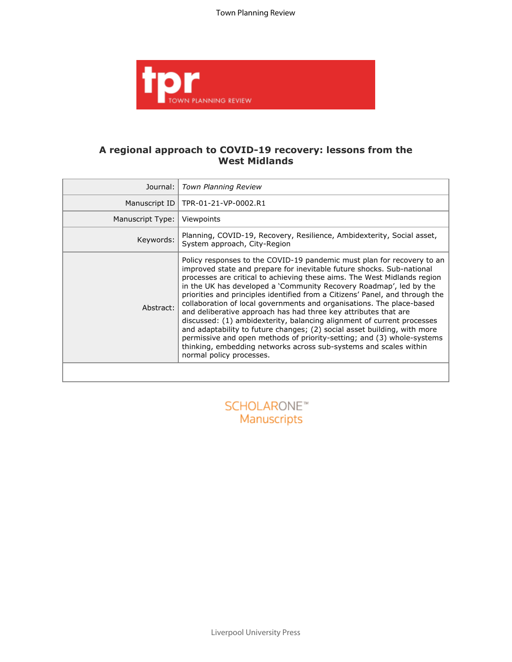Town Planning Review



## **A regional approach to COVID-19 recovery: lessons from the West Midlands**

| Journal:                               | Town Planning Review                                                                                                                                                                                                                                                                                                                                                                                                                                                                                                                                                                                                                                                                                                                                                                                                                                           |  |
|----------------------------------------|----------------------------------------------------------------------------------------------------------------------------------------------------------------------------------------------------------------------------------------------------------------------------------------------------------------------------------------------------------------------------------------------------------------------------------------------------------------------------------------------------------------------------------------------------------------------------------------------------------------------------------------------------------------------------------------------------------------------------------------------------------------------------------------------------------------------------------------------------------------|--|
| Manuscript ID                          | TPR-01-21-VP-0002.R1                                                                                                                                                                                                                                                                                                                                                                                                                                                                                                                                                                                                                                                                                                                                                                                                                                           |  |
| Manuscript Type:                       | Viewpoints                                                                                                                                                                                                                                                                                                                                                                                                                                                                                                                                                                                                                                                                                                                                                                                                                                                     |  |
| Keywords:                              | Planning, COVID-19, Recovery, Resilience, Ambidexterity, Social asset,<br>System approach, City-Region                                                                                                                                                                                                                                                                                                                                                                                                                                                                                                                                                                                                                                                                                                                                                         |  |
| Abstract:                              | Policy responses to the COVID-19 pandemic must plan for recovery to an<br>improved state and prepare for inevitable future shocks. Sub-national<br>processes are critical to achieving these aims. The West Midlands region<br>in the UK has developed a 'Community Recovery Roadmap', led by the<br>priorities and principles identified from a Citizens' Panel, and through the<br>collaboration of local governments and organisations. The place-based<br>and deliberative approach has had three key attributes that are<br>discussed: (1) ambidexterity, balancing alignment of current processes<br>and adaptability to future changes; (2) social asset building, with more<br>permissive and open methods of priority-setting; and (3) whole-systems<br>thinking, embedding networks across sub-systems and scales within<br>normal policy processes. |  |
|                                        |                                                                                                                                                                                                                                                                                                                                                                                                                                                                                                                                                                                                                                                                                                                                                                                                                                                                |  |
| SCHOLARONE <sup>*</sup><br>Manuscripts |                                                                                                                                                                                                                                                                                                                                                                                                                                                                                                                                                                                                                                                                                                                                                                                                                                                                |  |

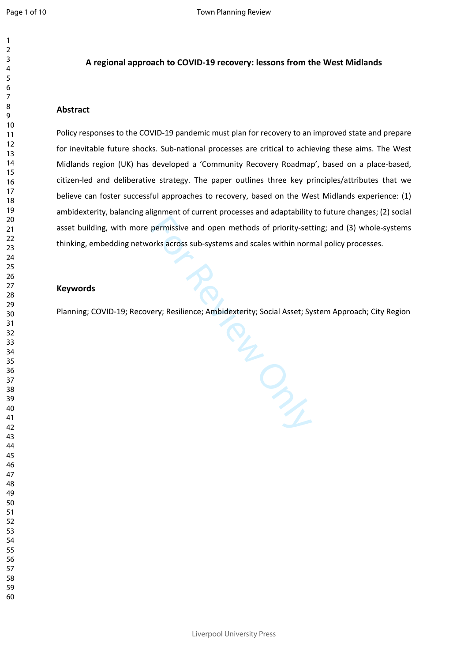#### **A regional approach to COVID-19 recovery: lessons from the West Midlands**

### **Abstract**

Policy responses to the COVID-19 pandemic must plan for recovery to an improved state and prepare for inevitable future shocks. Sub-national processes are critical to achieving these aims. The West Midlands region (UK) has developed a 'Community Recovery Roadmap', based on a place-based, citizen-led and deliberative strategy. The paper outlines three key principles/attributes that we believe can foster successful approaches to recovery, based on the West Midlands experience: (1) ambidexterity, balancing alignment of current processes and adaptability to future changes; (2) social asset building, with more permissive and open methods of priority-setting; and (3) whole-systems thinking, embedding networks across sub-systems and scales within normal policy processes.

#### **Keywords**

Planning; COVID-19; Recovery; Resilience; Ambidexterity; Social Asset; System Approach; City Region

For Review Only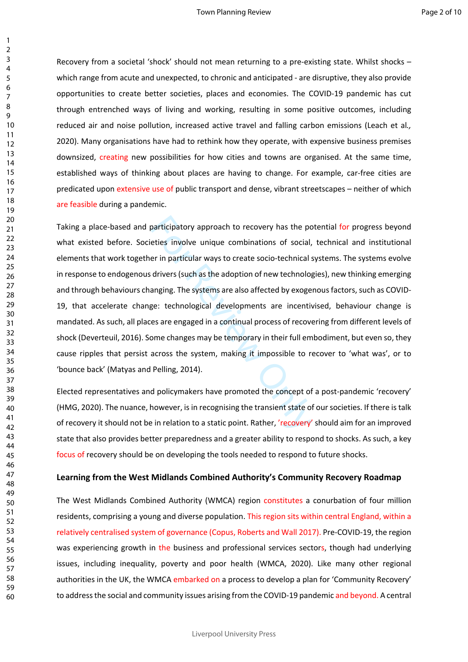Recovery from a societal 'shock' should not mean returning to a pre-existing state. Whilst shocks – which range from acute and unexpected, to chronic and anticipated - are disruptive, they also provide opportunities to create better societies, places and economies. The COVID-19 pandemic has cut through entrenched ways of living and working, resulting in some positive outcomes, including reduced air and noise pollution, increased active travel and falling carbon emissions (Leach et al*.,*  2020). Many organisations have had to rethink how they operate, with expensive business premises downsized, creating new possibilities for how cities and towns are organised. At the same time, established ways of thinking about places are having to change. For example, car-free cities are predicated upon extensive use of public transport and dense, vibrant streetscapes – neither of which are feasible during a pandemic.

participatory approach to recovery has the po<br>eties involve unique combinations of social,<br>er in particular ways to create socio-technical s<br>drivers (such as the adoption of new technolog<br>anging. The systems are also affec Taking a place-based and participatory approach to recovery has the potential for progress beyond what existed before. Societies involve unique combinations of social, technical and institutional elements that work together in particular ways to create socio-technical systems. The systems evolve in response to endogenous drivers (such as the adoption of new technologies), new thinking emerging and through behaviours changing. The systems are also affected by exogenous factors, such as COVID-19, that accelerate change: technological developments are incentivised, behaviour change is mandated. As such, all places are engaged in a continual process of recovering from different levels of shock (Deverteuil, 2016). Some changes may be temporary in their full embodiment, but even so, they cause ripples that persist across the system, making it impossible to recover to 'what was', or to 'bounce back' (Matyas and Pelling, 2014).

Elected representatives and policymakers have promoted the concept of a post-pandemic 'recovery' (HMG, 2020). The nuance, however, is in recognising the transient state of our societies. If there is talk of recovery it should not be in relation to a static point. Rather, 'recovery' should aim for an improved state that also provides better preparedness and a greater ability to respond to shocks. As such, a key focus of recovery should be on developing the tools needed to respond to future shocks.

### **Learning from the West Midlands Combined Authority's Community Recovery Roadmap**

The West Midlands Combined Authority (WMCA) region constitutes a conurbation of four million residents, comprising a young and diverse population. This region sits within central England, within a relatively centralised system of governance (Copus, Roberts and Wall 2017). Pre-COVID-19, the region was experiencing growth in the business and professional services sectors, though had underlying issues, including inequality, poverty and poor health (WMCA, 2020). Like many other regional authorities in the UK, the WMCA embarked on a process to develop a plan for 'Community Recovery' to address the social and community issues arising from the COVID-19 pandemic and beyond. A central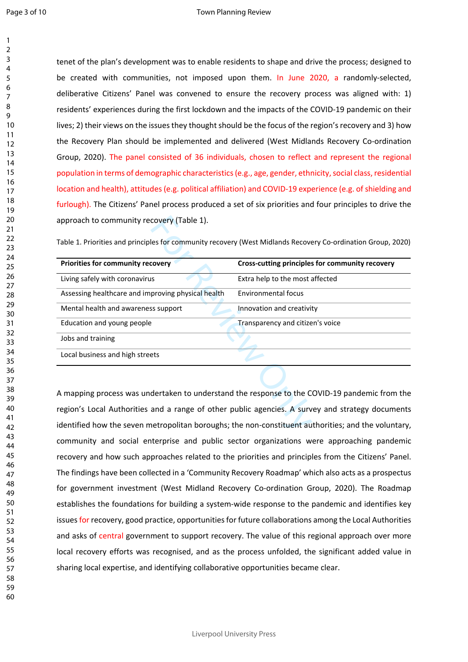$\mathbf{1}$ 

60

tenet of the plan's development was to enable residents to shape and drive the process; designed to be created with communities, not imposed upon them. In June 2020, a randomly-selected, deliberative Citizens' Panel was convened to ensure the recovery process was aligned with: 1) residents' experiences during the first lockdown and the impacts of the COVID-19 pandemic on their lives; 2) their views on the issues they thought should be the focus of the region's recovery and 3) how the Recovery Plan should be implemented and delivered (West Midlands Recovery Co-ordination Group, 2020). The panel consisted of 36 individuals, chosen to reflect and represent the regional population in terms of demographic characteristics (e.g., age, gender, ethnicity, social class, residential location and health), attitudes (e.g. political affiliation) and COVID-19 experience (e.g. of shielding and furlough). The Citizens' Panel process produced a set of six priorities and four principles to drive the approach to community recovery (Table 1).

| approach to community recovery (Table 1).                                                                    |                                                 |
|--------------------------------------------------------------------------------------------------------------|-------------------------------------------------|
| Table 1. Priorities and principles for community recovery (West Midlands Recovery Co-ordination Group, 2020) |                                                 |
| Priorities for community recovery                                                                            | Cross-cutting principles for community recovery |
| Living safely with coronavirus                                                                               | Extra help to the most affected                 |
| Assessing healthcare and improving physical health                                                           | Environmental focus                             |
| Mental health and awareness support                                                                          | Innovation and creativity                       |
| Education and young people                                                                                   | Transparency and citizen's voice                |
| Jobs and training                                                                                            |                                                 |
| Local business and high streets                                                                              |                                                 |
|                                                                                                              |                                                 |
| A mapping process was undertaken to understand the response to the COVID-19 pandemic from the                |                                                 |
| region's Local Authorities and a range of other public agencies. A survey and strategy documents             |                                                 |
| identified how the seven metropolitan boroughs; the non-constituent authorities; and the voluntary,          |                                                 |

A mapping process was undertaken to understand the response to the COVID-19 pandemic from the region's Local Authorities and a range of other public agencies. A survey and strategy documents identified how the seven metropolitan boroughs; the non-constituent authorities; and the voluntary, community and social enterprise and public sector organizations were approaching pandemic recovery and how such approaches related to the priorities and principles from the Citizens' Panel. The findings have been collected in a 'Community Recovery Roadmap' which also acts as a prospectus for government investment (West Midland Recovery Co-ordination Group, 2020). The Roadmap establishes the foundations for building a system-wide response to the pandemic and identifies key issues for recovery, good practice, opportunities for future collaborations among the Local Authorities and asks of central government to support recovery. The value of this regional approach over more local recovery efforts was recognised, and as the process unfolded, the significant added value in sharing local expertise, and identifying collaborative opportunities became clear.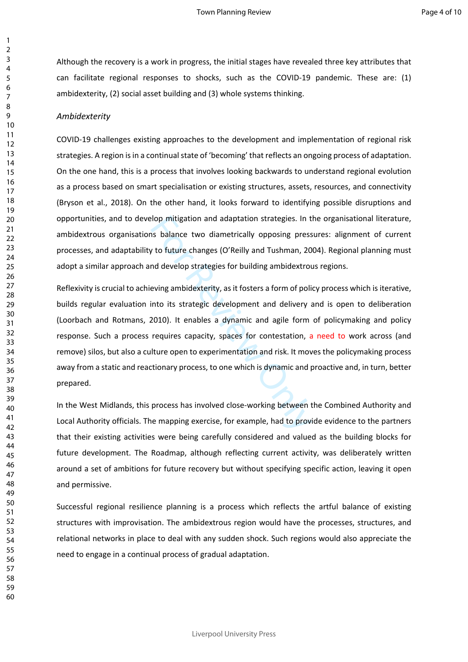Although the recovery is a work in progress, the initial stages have revealed three key attributes that can facilitate regional responses to shocks, such as the COVID-19 pandemic. These are: (1) ambidexterity, (2) social asset building and (3) whole systems thinking.

#### *Ambidexterity*

COVID-19 challenges existing approaches to the development and implementation of regional risk strategies. A region is in a continual state of 'becoming' that reflects an ongoing process of adaptation. On the one hand, this is a process that involves looking backwards to understand regional evolution as a process based on smart specialisation or existing structures, assets, resources, and connectivity (Bryson et al., 2018). On the other hand, it looks forward to identifying possible disruptions and opportunities, and to develop mitigation and adaptation strategies. In the organisational literature, ambidextrous organisations balance two diametrically opposing pressures: alignment of current processes, and adaptability to future changes (O'Reilly and Tushman, 2004). Regional planning must adopt a similar approach and develop strategies for building ambidextrous regions.

lop mitigation and adaptation strategies. In t<br>In this balance two diametrically opposing press<br>The State Comment of Comments, 20<br>and develop strategies for building ambidextron<br>eving ambidexterity, as it fosters a form of Reflexivity is crucial to achieving ambidexterity, as it fosters a form of policy process which is iterative, builds regular evaluation into its strategic development and delivery and is open to deliberation (Loorbach and Rotmans, 2010). It enables a dynamic and agile form of policymaking and policy response. Such a process requires capacity, spaces for contestation, a need to work across (and remove) silos, but also a culture open to experimentation and risk. It moves the policymaking process away from a static and reactionary process, to one which is dynamic and proactive and, in turn, better prepared.

In the West Midlands, this process has involved close-working between the Combined Authority and Local Authority officials. The mapping exercise, for example, had to provide evidence to the partners that their existing activities were being carefully considered and valued as the building blocks for future development. The Roadmap, although reflecting current activity, was deliberately written around a set of ambitions for future recovery but without specifying specific action, leaving it open and permissive.

Successful regional resilience planning is a process which reflects the artful balance of existing structures with improvisation. The ambidextrous region would have the processes, structures, and relational networks in place to deal with any sudden shock. Such regions would also appreciate the need to engage in a continual process of gradual adaptation.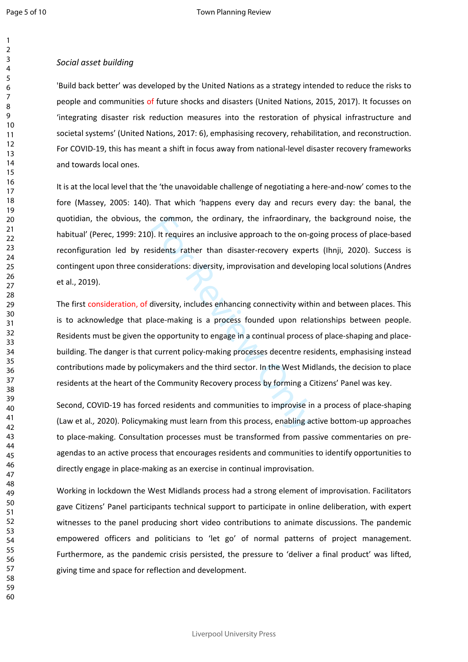#### *Social asset building*

'Build back better' was developed by the United Nations as a strategy intended to reduce the risks to people and communities of future shocks and disasters (United Nations, 2015, 2017). It focusses on 'integrating disaster risk reduction measures into the restoration of physical infrastructure and societal systems' (United Nations, 2017: 6), emphasising recovery, rehabilitation, and reconstruction. For COVID-19, this has meant a shift in focus away from national-level disaster recovery frameworks and towards local ones.

It is at the local level that the 'the unavoidable challenge of negotiating a here-and-now' comes to the fore (Massey, 2005: 140). That which 'happens every day and recurs every day: the banal, the quotidian, the obvious, the common, the ordinary, the infraordinary, the background noise, the habitual' (Perec, 1999: 210). It requires an inclusive approach to the on-going process of place-based reconfiguration led by residents rather than disaster-recovery experts (Ihnji, 2020). Success is contingent upon three considerations: diversity, improvisation and developing local solutions (Andres et al., 2019).

ne common, the ordinary, the infraordinary,<br>
). It requires an inclusive approach to the on-g<br>
sidents rather than disaster-recovery exper<br>
siderations: diversity, improvisation and develo<br>
diversity, includes enhancing co The first consideration, of diversity, includes enhancing connectivity within and between places. This is to acknowledge that place-making is a process founded upon relationships between people. Residents must be given the opportunity to engage in a continual process of place-shaping and placebuilding. The danger is that current policy-making processes decentre residents, emphasising instead contributions made by policymakers and the third sector. In the West Midlands, the decision to place residents at the heart of the Community Recovery process by forming a Citizens' Panel was key.

Second, COVID-19 has forced residents and communities to improvise in a process of place-shaping (Law et al*.,* 2020). Policymaking must learn from this process, enabling active bottom-up approaches to place-making. Consultation processes must be transformed from passive commentaries on preagendas to an active process that encourages residents and communities to identify opportunities to directly engage in place-making as an exercise in continual improvisation.

Working in lockdown the West Midlands process had a strong element of improvisation. Facilitators gave Citizens' Panel participants technical support to participate in online deliberation, with expert witnesses to the panel producing short video contributions to animate discussions. The pandemic empowered officers and politicians to 'let go' of normal patterns of project management. Furthermore, as the pandemic crisis persisted, the pressure to 'deliver a final product' was lifted, giving time and space for reflection and development.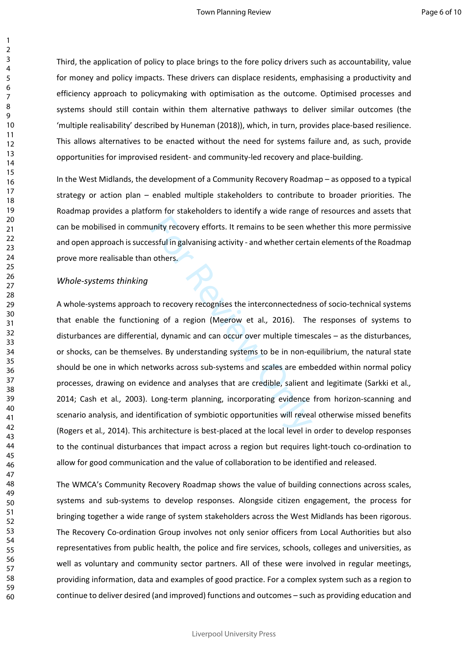Third, the application of policy to place brings to the fore policy drivers such as accountability, value for money and policy impacts. These drivers can displace residents, emphasising a productivity and efficiency approach to policymaking with optimisation as the outcome. Optimised processes and systems should still contain within them alternative pathways to deliver similar outcomes (the 'multiple realisability' described by Huneman (2018)), which, in turn, provides place-based resilience. This allows alternatives to be enacted without the need for systems failure and, as such, provide opportunities for improvised resident- and community-led recovery and place-building.

In the West Midlands, the development of a Community Recovery Roadmap – as opposed to a typical strategy or action plan – enabled multiple stakeholders to contribute to broader priorities. The Roadmap provides a platform for stakeholders to identify a wide range of resources and assets that can be mobilised in community recovery efforts. It remains to be seen whether this more permissive and open approach is successful in galvanising activity - and whether certain elements of the Roadmap prove more realisable than others.

#### *Whole-systems thinking*

unity recovery efforts. It remains to be seen w<br>
ssful in galvanising activity - and whether certa<br>
others.<br> **Example 18.4**<br>
others.<br> **Example:**<br>
to recovery recognises the interconnectednes<br>
ng of a region (Meerow et al., A whole-systems approach to recovery recognises the interconnectedness of socio-technical systems that enable the functioning of a region (Meerow et al*.,* 2016). The responses of systems to disturbances are differential, dynamic and can occur over multiple timescales – as the disturbances, or shocks, can be themselves. By understanding systems to be in non-equilibrium, the natural state should be one in which networks across sub-systems and scales are embedded within normal policy processes, drawing on evidence and analyses that are credible, salient and legitimate (Sarkki et al*.,* 2014; Cash et al*.,* 2003). Long-term planning, incorporating evidence from horizon-scanning and scenario analysis, and identification of symbiotic opportunities will reveal otherwise missed benefits (Rogers et al*.,* 2014). This architecture is best-placed at the local level in order to develop responses to the continual disturbances that impact across a region but requires light-touch co-ordination to allow for good communication and the value of collaboration to be identified and released.

The WMCA's Community Recovery Roadmap shows the value of building connections across scales, systems and sub-systems to develop responses. Alongside citizen engagement, the process for bringing together a wide range of system stakeholders across the West Midlands has been rigorous. The Recovery Co-ordination Group involves not only senior officers from Local Authorities but also representatives from public health, the police and fire services, schools, colleges and universities, as well as voluntary and community sector partners. All of these were involved in regular meetings, providing information, data and examples of good practice. For a complex system such as a region to continue to deliver desired (and improved) functions and outcomes – such as providing education and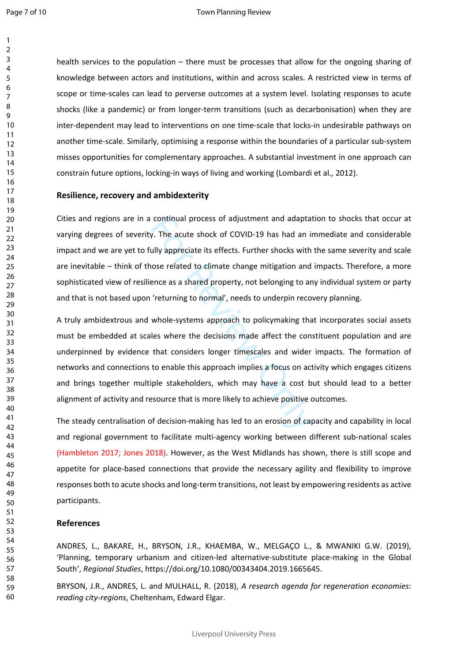$\mathbf{1}$  $\overline{2}$ 

health services to the population – there must be processes that allow for the ongoing sharing of knowledge between actors and institutions, within and across scales. A restricted view in terms of scope or time-scales can lead to perverse outcomes at a system level. Isolating responses to acute shocks (like a pandemic) or from longer-term transitions (such as decarbonisation) when they are inter-dependent may lead to interventions on one time-scale that locks-in undesirable pathways on another time-scale. Similarly, optimising a response within the boundaries of a particular sub-system misses opportunities for complementary approaches. A substantial investment in one approach can constrain future options, locking-in ways of living and working (Lombardi et al*.,* 2012).

#### **Resilience, recovery and ambidexterity**

Cities and regions are in a continual process of adjustment and adaptation to shocks that occur at varying degrees of severity. The acute shock of COVID-19 has had an immediate and considerable impact and we are yet to fully appreciate its effects. Further shocks with the same severity and scale are inevitable – think of those related to climate change mitigation and impacts. Therefore, a more sophisticated view of resilience as a shared property, not belonging to any individual system or party and that is not based upon 'returning to normal', needs to underpin recovery planning.

continual process of adjustment and adapta<br>v. The acute shock of COVID-19 has had an in<br>ully appreciate its effects. Further shocks with<br>nose related to climate change mitigation and<br>ence as a shared property, not belongin A truly ambidextrous and whole-systems approach to policymaking that incorporates social assets must be embedded at scales where the decisions made affect the constituent population and are underpinned by evidence that considers longer timescales and wider impacts. The formation of networks and connections to enable this approach implies a focus on activity which engages citizens and brings together multiple stakeholders, which may have a cost but should lead to a better alignment of activity and resource that is more likely to achieve positive outcomes.

The steady centralisation of decision-making has led to an erosion of capacity and capability in local and regional government to facilitate multi-agency working between different sub-national scales (Hambleton 2017; Jones 2018). However, as the West Midlands has shown, there is still scope and appetite for place-based connections that provide the necessary agility and flexibility to improve responses both to acute shocks and long-term transitions, not least by empowering residents as active participants.

#### **References**

ANDRES, L., BAKARE, H., BRYSON, J.R., KHAEMBA, W., MELGAÇO L., & MWANIKI G.W. (2019), 'Planning, temporary urbanism and citizen-led alternative-substitute place-making in the Global South', *Regional Studies*, https://doi.org/10.1080/00343404.2019.1665645.

BRYSON, J.R., ANDRES, L. and MULHALL, R. (2018), *A research agenda for regeneration economies: reading city-regions*, Cheltenham, Edward Elgar.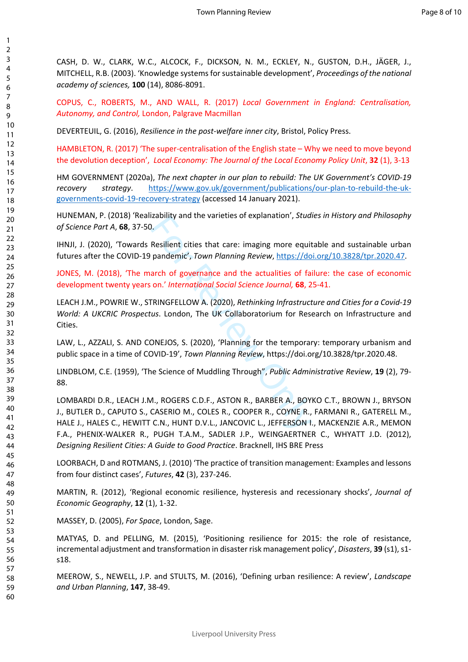CASH, D. W., CLARK, W.C., ALCOCK, F., DICKSON, N. M., ECKLEY, N., GUSTON, D.H., JÄGER, J., MITCHELL, R.B. (2003). 'Knowledge systems for sustainable development', *Proceedings of the national academy of sciences,* **100** (14), 8086-8091.

COPUS, C., ROBERTS, M., AND WALL, R. (2017) *Local Government in England: Centralisation, Autonomy, and Control,* London, Palgrave Macmillan

DEVERTEUIL, G. (2016), *Resilience in the post-welfare inner city*, Bristol, Policy Press.

HAMBLETON, R. (2017) 'The super-centralisation of the English state – Why we need to move beyond the devolution deception', *Local Economy: The Journal of the Local Economy Policy Unit*, **32** (1), 3-13

HM GOVERNMENT (2020a), *The next chapter in our plan to rebuild: The UK Government's COVID-19 recovery strategy*. [https://www.gov.uk/government/publications/our-plan-to-rebuild-the-uk](https://www.gov.uk/government/publications/our-plan-to-rebuild-the-uk-governments-covid-19-recovery-strategy)[governments-covid-19-recovery-strategy](https://www.gov.uk/government/publications/our-plan-to-rebuild-the-uk-governments-covid-19-recovery-strategy) (accessed 14 January 2021).

HUNEMAN, P. (2018) 'Realizability and the varieties of explanation', *Studies in History and Philosophy of Science Part A*, **68**, 37-50.

IHNJI, J. (2020), 'Towards Resilient cities that care: imaging more equitable and sustainable urban futures after the COVID-19 pandemic', *Town Planning Review*, <https://doi.org/10.3828/tpr.2020.47>.

JONES, M. (2018), 'The march of governance and the actualities of failure: the case of economic development twenty years on.' *International Social Science Journal,* **68**, 25-41.

LEACH J.M., POWRIE W., STRINGFELLOW A. (2020), *Rethinking Infrastructure and Cities for a Covid-19 World: A UKCRIC Prospectus*. London, The UK Collaboratorium for Research on Infrastructure and Cities.

LAW, L., AZZALI, S. AND CONEJOS, S. (2020), 'Planning for the temporary: temporary urbanism and public space in a time of COVID-19', *Town Planning Review*, https://doi.org/10.3828/tpr.2020.48.

LINDBLOM, C.E. (1959), 'The Science of Muddling Through", *Public Administrative Review*, **19** (2), 79- 88.

Examply and the varieties of explanation, *studi*<br>
Resilient cities that care: imaging more equit<br>
pandemic', Town Planning Review, https://do<br>
arch of governance and the actualities of fai<br>
on.' International Social Scien LOMBARDI D.R., LEACH J.M., ROGERS C.D.F., ASTON R., BARBER A., BOYKO C.T., BROWN J., BRYSON J., BUTLER D., CAPUTO S., CASERIO M., COLES R., COOPER R., COYNE R., FARMANI R., GATERELL M., HALE J., HALES C., HEWITT C.N., HUNT D.V.L., JANCOVIC L., JEFFERSON I., MACKENZIE A.R., MEMON F.A., PHENIX-WALKER R., PUGH T.A.M., SADLER J.P., WEINGAERTNER C., WHYATT J.D. (2012), *Designing Resilient Cities: A Guide to Good Practice*. Bracknell, IHS BRE Press

LOORBACH, D and ROTMANS, J. (2010) 'The practice of transition management: Examples and lessons from four distinct cases', *Futures*, **42** (3), 237-246.

MARTIN, R. (2012), 'Regional economic resilience, hysteresis and recessionary shocks', *Journal of Economic Geography*, **12** (1), 1-32.

MASSEY, D. (2005), *For Space*, London, Sage.

MATYAS, D. and PELLING, M. (2015), 'Positioning resilience for 2015: the role of resistance, incremental adjustment and transformation in disaster risk management policy', *Disasters*, **39** (s1), s1 s18.

MEEROW, S., NEWELL, J.P. and STULTS, M. (2016), 'Defining urban resilience: A review', *Landscape and Urban Planning*, **147**, 38-49.

1 2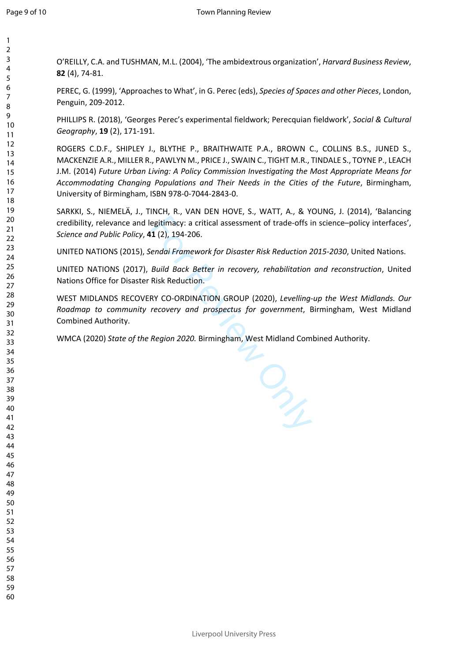$\mathbf{1}$  $\overline{2}$  $\overline{3}$  $\overline{4}$  $\overline{7}$ 

O'REILLY, C.A. and TUSHMAN, M.L. (2004), 'The ambidextrous organization', *Harvard Business Review*, (4), 74-81.

PEREC, G. (1999), 'Approaches to What', in G. Perec (eds), *Species of Spaces and other Pieces*, London, Penguin, 209-2012.

PHILLIPS R. (2018), 'Georges Perec's experimental fieldwork; Perecquian fieldwork', *Social & Cultural Geography*, **19** (2), 171-191.

ROGERS C.D.F., SHIPLEY J., BLYTHE P., BRAITHWAITE P.A., BROWN C., COLLINS B.S., JUNED S., MACKENZIE A.R., MILLER R., PAWLYN M., PRICE J., SWAIN C., TIGHT M.R., TINDALE S., TOYNE P., LEACH J.M. (2014) *Future Urban Living: A Policy Commission Investigating the Most Appropriate Means for Accommodating Changing Populations and Their Needs in the Cities of the Future*, Birmingham, University of Birmingham, ISBN 978-0-7044-2843-0.

SARKKI, S., NIEMELÄ, J., TINCH, R., VAN DEN HOVE, S., WATT, A., & YOUNG, J. (2014), 'Balancing credibility, relevance and legitimacy: a critical assessment of trade-offs in science–policy interfaces', *Science and Public Policy*, **41** (2), 194-206.

UNITED NATIONS (2015), *Sendai Framework for Disaster Risk Reduction 2015-2030*, United Nations.

UNITED NATIONS (2017), *Build Back Better in recovery, rehabilitation and reconstruction*, United Nations Office for Disaster Risk Reduction.

WEST MIDLANDS RECOVERY CO-ORDINATION GROUP (2020), *Levelling-up the West Midlands. Our Roadmap to community recovery and prospectus for government*, Birmingham, West Midland Combined Authority.

 $P_{\lambda_\mu}$ 

WMCA (2020) *State of the Region 2020.* Birmingham, West Midland Combined Authority.